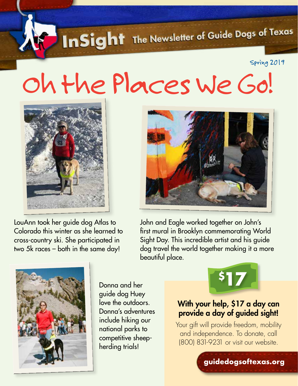InSight The Newsletter of Guide Dogs of Texas

# oh the Places We Go!



LouAnn took her guide dog Atlas to Colorado this winter as she learned to cross-country ski. She participated in two 5k races – both in the same day!



John and Eagle worked together on John's first mural in Brooklyn commemorating World Sight Day. This incredible artist and his guide dog travel the world together making it a more beautiful place.



Donna and her guide dog Huey love the outdoors. Donna's adventures include hiking our national parks to competitive sheepherding trials!



### [With your help, \\$17 a day can](https://www.givedirect.org/donate/?cid=253)  provide a day of guided sight!

Your gift will provide freedom, mobility and independence. To donate, call (800) 831-9231 or visit our website.

**guidedogsoftexas.org**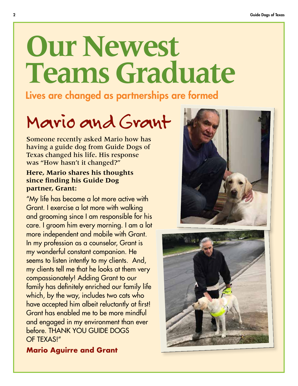## **Our Newest Teams Graduate**

Lives are changed as partnerships are formed

## Mario and Grant

Someone recently asked Mario how has having a guide dog from Guide Dogs of Texas changed his life. His response was "How hasn't it changed?"

#### **Here, Mario shares his thoughts since finding his Guide Dog partner, Grant:**

have accepted him albeit reluctantly at first! "My life has become a lot more active with Grant. I exercise a lot more with walking and grooming since I am responsible for his care. I groom him every morning. I am a lot more independent and mobile with Grant. In my profession as a counselor, Grant is my wonderful constant companion. He seems to listen intently to my clients. And, my clients tell me that he looks at them very compassionately! Adding Grant to our family has definitely enriched our family life which, by the way, includes two cats who Grant has enabled me to be more mindful and engaged in my environment than ever before. THANK YOU GUIDE DOGS OF TEXAS!"





#### **Mario Aguirre and Grant**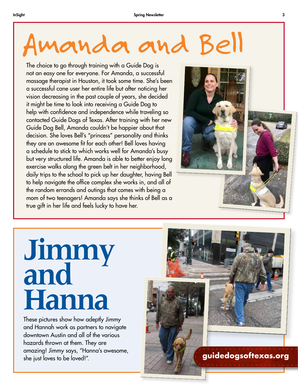## Amanda and Bell

The choice to go through training with a Guide Dog is not an easy one for everyone. For Amanda, a successful massage therapist in Houston, it took some time. She's been a successful cane user her entire life but after noticing her vision decreasing in the past couple of years, she decided it might be time to look into receiving a Guide Dog to help with confidence and independence while traveling so contacted Guide Dogs of Texas. After training with her new Guide Dog Bell, Amanda couldn't be happier about that decision. She loves Bell's "princess" personality and thinks they are an awesome fit for each other! Bell loves having a schedule to stick to which works well for Amanda's busy but very structured life. Amanda is able to better enjoy long exercise walks along the green belt in her neighborhood, daily trips to the school to pick up her daughter, having Bell to help navigate the office complex she works in, and all of the random errands and outings that comes with being a mom of two teenagers! Amanda says she thinks of Bell as a true gift in her life and feels lucky to have her.



## **Jimmy and Hanna**

These pictures show how adeptly Jimmy and Hannah work as partners to navigate downtown Austin and all of the various hazards thrown at them. They are amazing! Jimmy says, "Hanna's awesome,